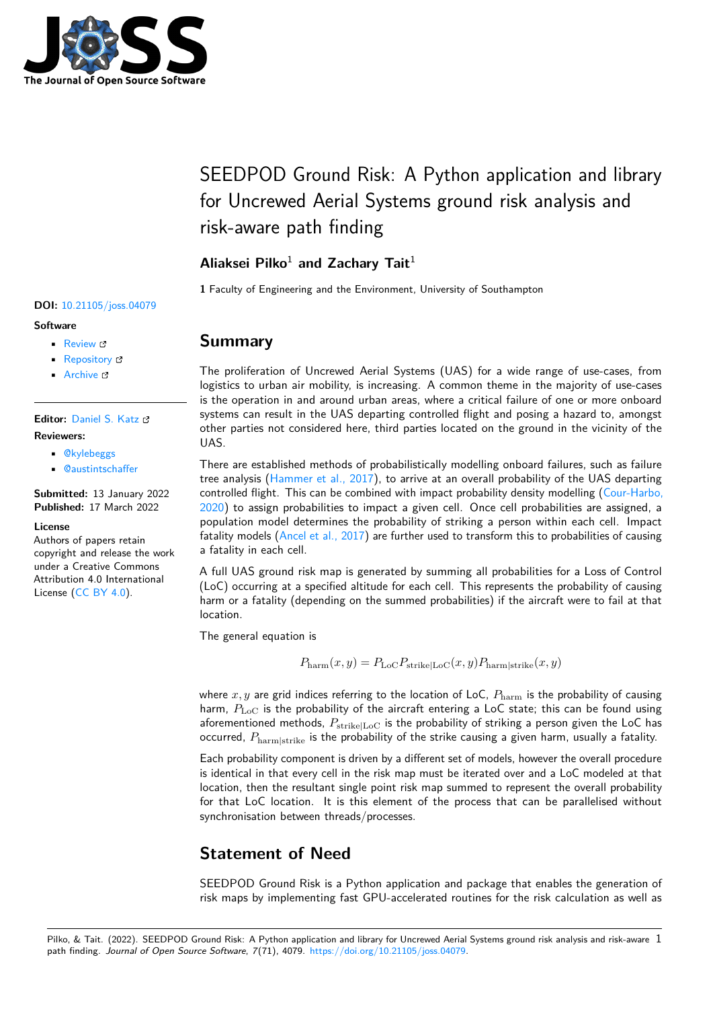

# SEEDPOD Ground Risk: A Python application and library for Uncrewed Aerial Systems ground risk analysis and risk-aware path finding

### **Aliaksei Pilko**<sup>1</sup> **and Zachary Tait**<sup>1</sup>

**1** Faculty of Engineering and the Environment, University of Southampton

#### **DOI:** [10.21105/joss.04079](https://doi.org/10.21105/joss.04079)

#### **Software**

- [Review](https://github.com/openjournals/joss-reviews/issues/4079) &
- [Repository](https://github.com/aliaksei135/seedpod_ground_risk/) &
- [Archive](https://doi.org/10.5281/zenodo.6363635)

**Editor:** [Daniel S. Katz](http://danielskatz.org/) **Reviewers:**

- [@kylebeggs](https://github.com/kylebeggs)
- [@austintschaffer](https://github.com/austintschaffer)

**Submitted:** 13 January 2022 **Published:** 17 March 2022

#### **License**

Authors of papers retain copyright and release the work under a Creative Commons Attribution 4.0 International License [\(CC BY 4.0\)](https://creativecommons.org/licenses/by/4.0/).

### **Summary**

The proliferation of Uncrewed Aerial Systems (UAS) for a wide range of use-cases, from logistics to urban air mobility, is increasing. A common theme in the majority of use-cases is the operation in and around urban areas, where a critical failure of one or more onboard systems can result in the UAS departing controlled flight and posing a hazard to, amongst other parties not considered here, third parties located on the ground in the vicinity of the UAS.

There are established methods of probabilistically modelling onboard failures, such as failure tree analysis [\(Hammer et al., 2017\)](#page-1-0), to arrive at an overall probability of the UAS departing controlled flight. This can be combined with impact probability density modelling [\(Cour-Harbo,](#page-1-1) [2020\)](#page-1-1) to assign probabilities to impact a given cell. Once cell probabilities are assigned, a population model determines the probability of striking a person within each cell. Impact fatality models [\(Ancel et al., 2017\)](#page-1-2) are further used to transform this to probabilities of causing a fatality in each cell.

A full UAS ground risk map is generated by summing all probabilities for a Loss of Control (LoC) occurring at a specified altitude for each cell. This represents the probability of causing harm or a fatality (depending on the summed probabilities) if the aircraft were to fail at that location.

The general equation is

$$
P_{\text{harm}}(x, y) = P_{\text{LoC}} P_{\text{strike}|\text{LoC}}(x, y) P_{\text{harm}|\text{strike}}(x, y)
$$

where  $x, y$  are grid indices referring to the location of LoC,  $P_{\text{harm}}$  is the probability of causing harm,  $P_{\text{LoC}}$  is the probability of the aircraft entering a LoC state; this can be found using aforementioned methods,  $P_{\text{strike}|\text{Loc}}$  is the probability of striking a person given the LoC has occurred,  $P_{\text{harm}\vert \text{strike}}$  is the probability of the strike causing a given harm, usually a fatality.

Each probability component is driven by a different set of models, however the overall procedure is identical in that every cell in the risk map must be iterated over and a LoC modeled at that location, then the resultant single point risk map summed to represent the overall probability for that LoC location. It is this element of the process that can be parallelised without synchronisation between threads/processes.

# **Statement of Need**

SEEDPOD Ground Risk is a Python application and package that enables the generation of risk maps by implementing fast GPU-accelerated routines for the risk calculation as well as

Pilko, & Tait. (2022). SEEDPOD Ground Risk: A Python application and library for Uncrewed Aerial Systems ground risk analysis and risk-aware 1 path finding. Journal of Open Source Software, 7(71), 4079. [https://doi.org/10.21105/joss.04079.](https://doi.org/10.21105/joss.04079)